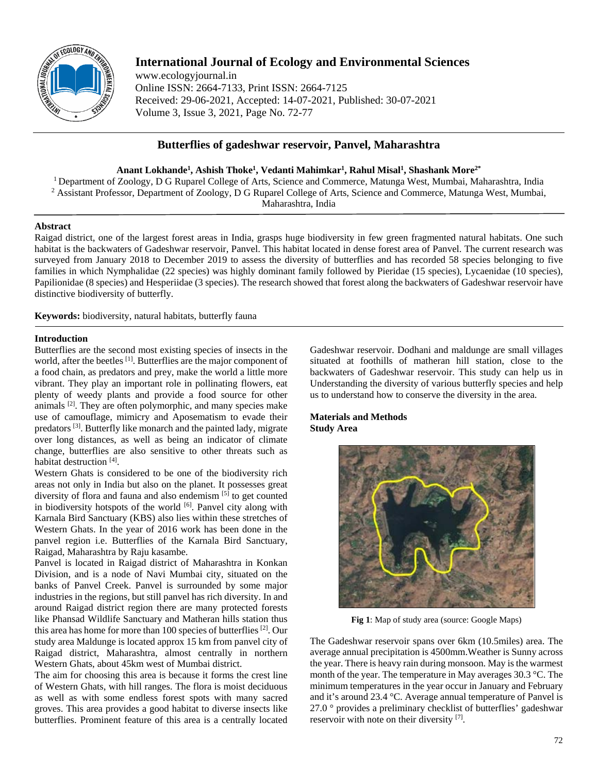

# **International Journal of Ecology and Environmental Sciences**

www.ecologyjournal.in Online ISSN: 2664-7133, Print ISSN: 2664-7125 Received: 29-06-2021, Accepted: 14-07-2021, Published: 30-07-2021 Volume 3, Issue 3, 2021, Page No. 72-77

## **Butterflies of gadeshwar reservoir, Panvel, Maharashtra**

**Anant Lokhande1 , Ashish Thoke1 , Vedanti Mahimkar1 , Rahul Misal1 , Shashank More2\***

1 Department of Zoology, D G Ruparel College of Arts, Science and Commerce, Matunga West, Mumbai, Maharashtra, India <sup>2</sup> Assistant Professor, Department of Zoology, D G Ruparel College of Arts, Science and Commerce, Matunga West, Mumbai, Maharashtra, India

## **Abstract**

Raigad district, one of the largest forest areas in India, grasps huge biodiversity in few green fragmented natural habitats. One such habitat is the backwaters of Gadeshwar reservoir, Panvel. This habitat located in dense forest area of Panvel. The current research was surveyed from January 2018 to December 2019 to assess the diversity of butterflies and has recorded 58 species belonging to five families in which Nymphalidae (22 species) was highly dominant family followed by Pieridae (15 species), Lycaenidae (10 species), Papilionidae (8 species) and Hesperiidae (3 species). The research showed that forest along the backwaters of Gadeshwar reservoir have distinctive biodiversity of butterfly.

**Keywords:** biodiversity, natural habitats, butterfly fauna

## **Introduction**

Butterflies are the second most existing species of insects in the world, after the beetles [1]. Butterflies are the major component of a food chain, as predators and prey, make the world a little more vibrant. They play an important role in pollinating flowers, eat plenty of weedy plants and provide a food source for other animals [2]. They are often polymorphic, and many species make use of camouflage, mimicry and Aposematism to evade their predators [3]. Butterfly like monarch and the painted lady, migrate over long distances, as well as being an indicator of climate change, butterflies are also sensitive to other threats such as habitat destruction [4].

Western Ghats is considered to be one of the biodiversity rich areas not only in India but also on the planet. It possesses great diversity of flora and fauna and also endemism [5] to get counted in biodiversity hotspots of the world  $[6]$ . Panvel city along with Karnala Bird Sanctuary (KBS) also lies within these stretches of Western Ghats. In the year of 2016 work has been done in the panvel region i.e. Butterflies of the Karnala Bird Sanctuary, Raigad, Maharashtra by Raju kasambe.

Panvel is located in Raigad district of Maharashtra in Konkan Division, and is a node of Navi Mumbai city, situated on the banks of Panvel Creek. Panvel is surrounded by some major industries in the regions, but still panvel has rich diversity. In and around Raigad district region there are many protected forests like Phansad Wildlife Sanctuary and Matheran hills station thus this area has home for more than 100 species of butterflies [2]. Our study area Maldunge is located approx 15 km from panvel city of Raigad district, Maharashtra, almost centrally in northern Western Ghats, about 45km west of Mumbai district.

The aim for choosing this area is because it forms the crest line of Western Ghats, with hill ranges. The flora is moist deciduous as well as with some endless forest spots with many sacred groves. This area provides a good habitat to diverse insects like butterflies. Prominent feature of this area is a centrally located Gadeshwar reservoir. Dodhani and maldunge are small villages situated at foothills of matheran hill station, close to the backwaters of Gadeshwar reservoir. This study can help us in Understanding the diversity of various butterfly species and help us to understand how to conserve the diversity in the area.

## **Materials and Methods Study Area**



**Fig 1**: Map of study area (source: Google Maps)

The Gadeshwar reservoir spans over 6km (10.5miles) area. The average annual precipitation is 4500mm.Weather is Sunny across the year. There is heavy rain during monsoon. May is the warmest month of the year. The temperature in May averages 30.3 °C. The minimum temperatures in the year occur in January and February and it's around 23.4 °C. Average annual temperature of Panvel is 27.0 ° provides a preliminary checklist of butterflies' gadeshwar reservoir with note on their diversity [7].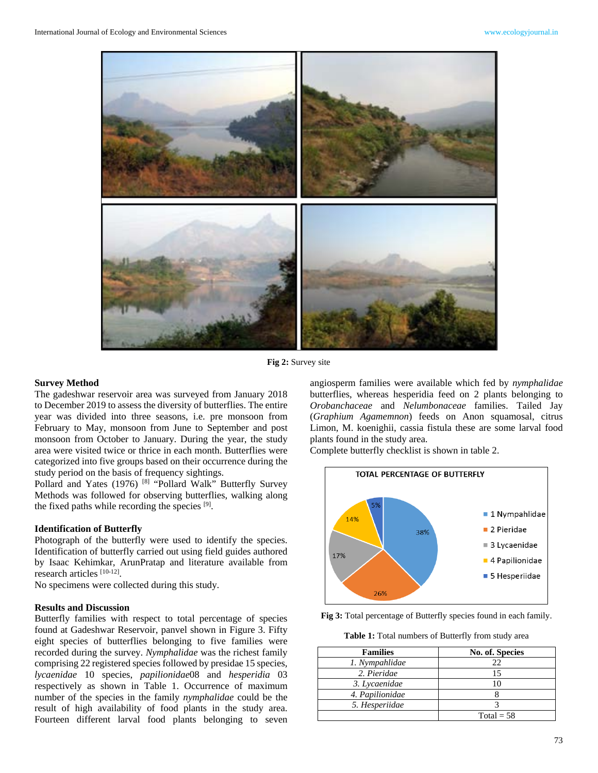

**Fig 2:** Survey site

#### **Survey Method**

The gadeshwar reservoir area was surveyed from January 2018 to December 2019 to assess the diversity of butterflies. The entire year was divided into three seasons, i.e. pre monsoon from February to May, monsoon from June to September and post monsoon from October to January. During the year, the study area were visited twice or thrice in each month. Butterflies were categorized into five groups based on their occurrence during the study period on the basis of frequency sightings.

Pollard and Yates (1976)<sup>[8]</sup> "Pollard Walk" Butterfly Survey Methods was followed for observing butterflies, walking along the fixed paths while recording the species [9].

#### **Identification of Butterfly**

Photograph of the butterfly were used to identify the species. Identification of butterfly carried out using field guides authored by Isaac Kehimkar, ArunPratap and literature available from research articles [10-12].

No specimens were collected during this study.

#### **Results and Discussion**

Butterfly families with respect to total percentage of species found at Gadeshwar Reservoir, panvel shown in Figure 3. Fifty eight species of butterflies belonging to five families were recorded during the survey. *Nymphalidae* was the richest family comprising 22 registered species followed by presidae 15 species*, lycaenidae* 10 species, *papilionidae*08 and *hesperidia* 03 respectively as shown in Table 1. Occurrence of maximum number of the species in the family *nymphalidae* could be the result of high availability of food plants in the study area. Fourteen different larval food plants belonging to seven

angiosperm families were available which fed by *nymphalidae*  butterflies, whereas hesperidia feed on 2 plants belonging to *Orobanchaceae* and *Nelumbonaceae* families. Tailed Jay (*Graphium Agamemnon*) feeds on Anon squamosal, citrus Limon, M. koenighii, cassia fistula these are some larval food plants found in the study area.

Complete butterfly checklist is shown in table 2.



**Fig 3:** Total percentage of Butterfly species found in each family.

**Table 1:** Total numbers of Butterfly from study area

| <b>Families</b> | No. of. Species |
|-----------------|-----------------|
| 1. Nympahlidae  | 22              |
| 2. Pieridae     |                 |
| 3. Lycaenidae   |                 |
| 4. Papilionidae |                 |
| 5. Hesperiidae  |                 |
|                 | Total = $58$    |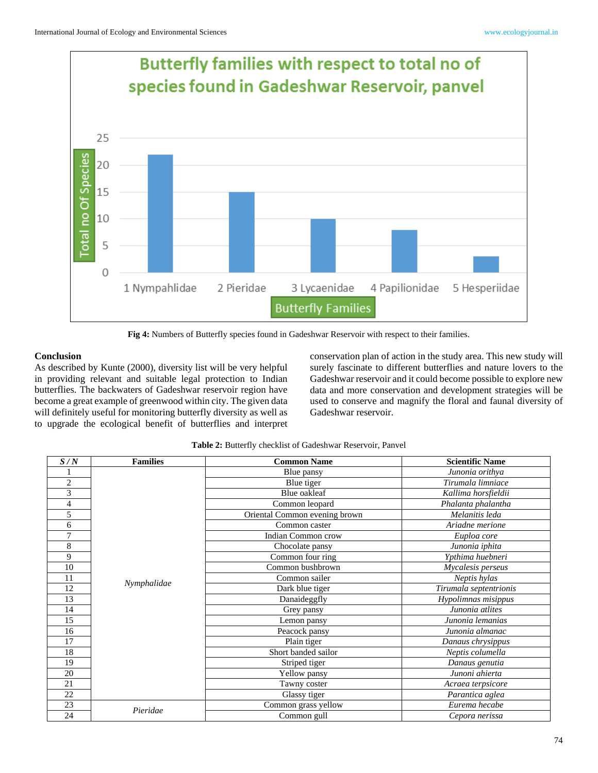

**Fig 4:** Numbers of Butterfly species found in Gadeshwar Reservoir with respect to their families.

## **Conclusion**

As described by Kunte (2000), diversity list will be very helpful in providing relevant and suitable legal protection to Indian butterflies. The backwaters of Gadeshwar reservoir region have become a great example of greenwood within city. The given data will definitely useful for monitoring butterfly diversity as well as to upgrade the ecological benefit of butterflies and interpret conservation plan of action in the study area. This new study will surely fascinate to different butterflies and nature lovers to the Gadeshwar reservoir and it could become possible to explore new data and more conservation and development strategies will be used to conserve and magnify the floral and faunal diversity of Gadeshwar reservoir.

| S/N            | <b>Families</b> | <b>Common Name</b>            | <b>Scientific Name</b> |
|----------------|-----------------|-------------------------------|------------------------|
| 1              | Nymphalidae     | Blue pansy                    | Junonia orithya        |
| $\overline{2}$ |                 | Blue tiger                    | Tirumala limniace      |
| 3              |                 | Blue oakleaf                  | Kallima horsfieldii    |
| 4              |                 | Common leopard                | Phalanta phalantha     |
| 5              |                 | Oriental Common evening brown | Melanitis leda         |
| 6              |                 | Common caster                 | Ariadne merione        |
| 7              |                 | Indian Common crow            | Euploa core            |
| 8              |                 | Chocolate pansy               | Junonia iphita         |
| 9              |                 | Common four ring              | Ypthima huebneri       |
| 10             |                 | Common bushbrown              | Mycalesis perseus      |
| 11             |                 | Common sailer                 | Neptis hylas           |
| 12             |                 | Dark blue tiger               | Tirumala septentrionis |
| 13             |                 | Danaideggfly                  | Hypolimnas misippus    |
| 14             |                 | Grey pansy                    | Junonia atlites        |
| 15             |                 | Lemon pansy                   | Junonia lemanias       |
| 16             |                 | Peacock pansy                 | Junonia almanac        |
| 17             |                 | Plain tiger                   | Danaus chrysippus      |
| 18             |                 | Short banded sailor           | Neptis columella       |
| 19             |                 | Striped tiger                 | Danaus genutia         |
| 20             |                 | Yellow pansy                  | Junoni ahierta         |
| 21             |                 | Tawny coster                  | Acraea terpsicore      |
| 22             |                 | Glassy tiger                  | Parantica aglea        |
| 23             | Pieridae        | Common grass yellow           | Eurema hecabe          |
| 24             |                 | Common gull                   | Cepora nerissa         |

**Table 2:** Butterfly checklist of Gadeshwar Reservoir, Panvel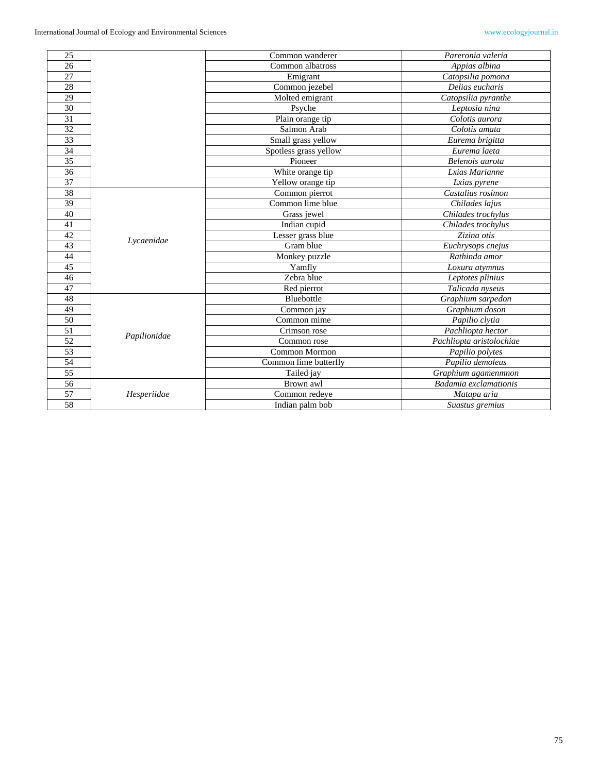| 25              |              | Common wanderer       | Pareronia valeria        |
|-----------------|--------------|-----------------------|--------------------------|
| 26              |              | Common albatross      | Appias albina            |
| 27              |              | Emigrant              | Catopsilia pomona        |
| 28              |              | Common jezebel        | Delias eucharis          |
| 29              |              | Molted emigrant       | Catopsilia pyranthe      |
| 30              |              | Psyche                | Leptosia nina            |
| 31              |              | Plain orange tip      | Colotis aurora           |
| 32              |              | Salmon Arab           | Colotis amata            |
| $\overline{33}$ |              | Small grass yellow    | Eurema brigitta          |
| 34              |              | Spotless grass yellow | Eurema laeta             |
| 35              |              | Pioneer               | Belenois aurota          |
| 36              |              | White orange tip      | Lxias Marianne           |
| 37              |              | Yellow orange tip     | Lxias pyrene             |
| 38              |              | Common pierrot        | Castalius rosimon        |
| 39              | Lycaenidae   | Common lime blue      | Chilades lajus           |
| 40              |              | Grass jewel           | Chilades trochylus       |
| 41              |              | Indian cupid          | Chilades trochylus       |
| 42              |              | Lesser grass blue     | Zizina otis              |
| 43              |              | Gram blue             | Euchrysops cnejus        |
| 44              |              | Monkey puzzle         | Rathinda amor            |
| 45              |              | Yamfly                | Loxura atymnus           |
| 46              |              | Zebra blue            | Leptotes plinius         |
| 47              |              | Red pierrot           | Talicada nyseus          |
| 48              | Papilionidae | Bluebottle            | Graphium sarpedon        |
| 49              |              | Common jay            | Graphium doson           |
| 50              |              | Common mime           | Papilio clytia           |
| $\overline{51}$ |              | Crimson rose          | Pachliopta hector        |
| 52              |              | Common rose           | Pachliopta aristolochiae |
| 53              |              | Common Mormon         | Papilio polytes          |
| 54              |              | Common lime butterfly | Papilio demoleus         |
| 55              |              | Tailed jay            | Graphium agamenmnon      |
| 56              | Hesperiidae  | Brown awl             | Badamia exclamationis    |
| $\overline{57}$ |              | Common redeye         | Matapa aria              |
| 58              |              | Indian palm bob       | Suastus gremius          |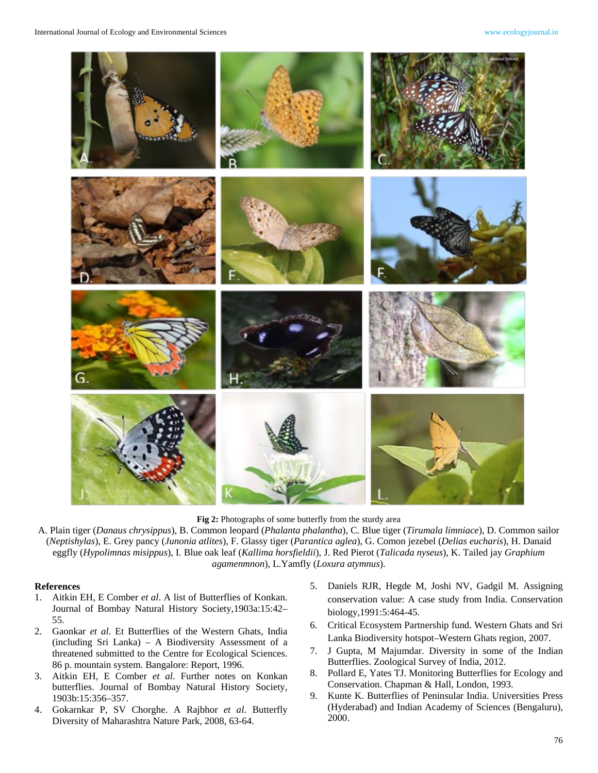

**Fig 2:** Photographs of some butterfly from the sturdy area

A. Plain tiger (*Danaus chrysippus*), B. Common leopard (*Phalanta phalantha*), C. Blue tiger (*Tirumala limniace*), D. Common sailor (*Neptishylas*), E. Grey pancy (*Junonia atlites*), F. Glassy tiger (*Parantica aglea*), G. Comon jezebel (*Delias eucharis*), H. Danaid eggfly (*Hypolimnas misippus*), I. Blue oak leaf (*Kallima horsfieldii*), J. Red Pierot (*Talicada nyseus*), K. Tailed jay *Graphium agamenmnon*), L.Yamfly (*Loxura atymnus*).

### **References**

- 1. Aitkin EH, E Comber *et al*. A list of Butterflies of Konkan. Journal of Bombay Natural History Society,1903a:15:42– 55.
- 2. Gaonkar *et al*. Et Butterflies of the Western Ghats, India (including Sri Lanka) – A Biodiversity Assessment of a threatened submitted to the Centre for Ecological Sciences. 86 p. mountain system. Bangalore: Report, 1996.
- 3. Aitkin EH, E Comber *et al*. Further notes on Konkan butterflies. Journal of Bombay Natural History Society, 1903b:15:356–357.
- 4. Gokarnkar P, SV Chorghe. A Rajbhor *et al*. Butterfly Diversity of Maharashtra Nature Park, 2008, 63-64.
- 5. Daniels RJR, Hegde M, Joshi NV, Gadgil M. Assigning conservation value: A case study from India. Conservation biology,1991:5:464-45.
- 6. Critical Ecosystem Partnership fund. Western Ghats and Sri Lanka Biodiversity hotspot–Western Ghats region, 2007.
- 7. J Gupta, M Majumdar. Diversity in some of the Indian Butterflies. Zoological Survey of India, 2012.
- 8. Pollard E, Yates TJ. Monitoring Butterflies for Ecology and Conservation. Chapman & Hall, London, 1993.
- 9. Kunte K. Butterflies of Peninsular India. Universities Press (Hyderabad) and Indian Academy of Sciences (Bengaluru), 2000.